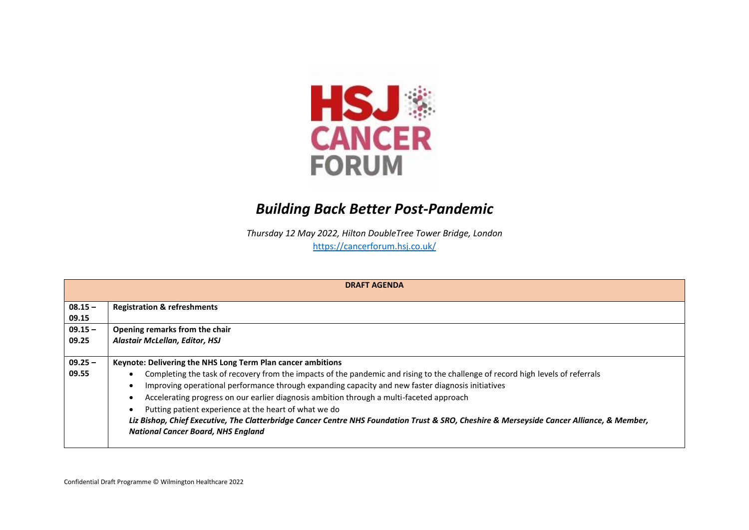

## *Building Back Better Post-Pandemic*

*Thursday 12 May 2022, Hilton DoubleTree Tower Bridge, London*

<https://cancerforum.hsj.co.uk/>

| <b>DRAFT AGENDA</b> |                                                                                                                                           |  |  |  |  |
|---------------------|-------------------------------------------------------------------------------------------------------------------------------------------|--|--|--|--|
|                     |                                                                                                                                           |  |  |  |  |
| $08.15 -$           | <b>Registration &amp; refreshments</b>                                                                                                    |  |  |  |  |
| 09.15               |                                                                                                                                           |  |  |  |  |
| $09.15 -$           | Opening remarks from the chair                                                                                                            |  |  |  |  |
| 09.25               | Alastair McLellan, Editor, HSJ                                                                                                            |  |  |  |  |
|                     |                                                                                                                                           |  |  |  |  |
| $09.25 -$           | Keynote: Delivering the NHS Long Term Plan cancer ambitions                                                                               |  |  |  |  |
| 09.55               | Completing the task of recovery from the impacts of the pandemic and rising to the challenge of record high levels of referrals           |  |  |  |  |
|                     | Improving operational performance through expanding capacity and new faster diagnosis initiatives                                         |  |  |  |  |
|                     | Accelerating progress on our earlier diagnosis ambition through a multi-faceted approach                                                  |  |  |  |  |
|                     | Putting patient experience at the heart of what we do                                                                                     |  |  |  |  |
|                     | Liz Bishop, Chief Executive, The Clatterbridge Cancer Centre NHS Foundation Trust & SRO, Cheshire & Merseyside Cancer Alliance, & Member, |  |  |  |  |
|                     | <b>National Cancer Board, NHS England</b>                                                                                                 |  |  |  |  |
|                     |                                                                                                                                           |  |  |  |  |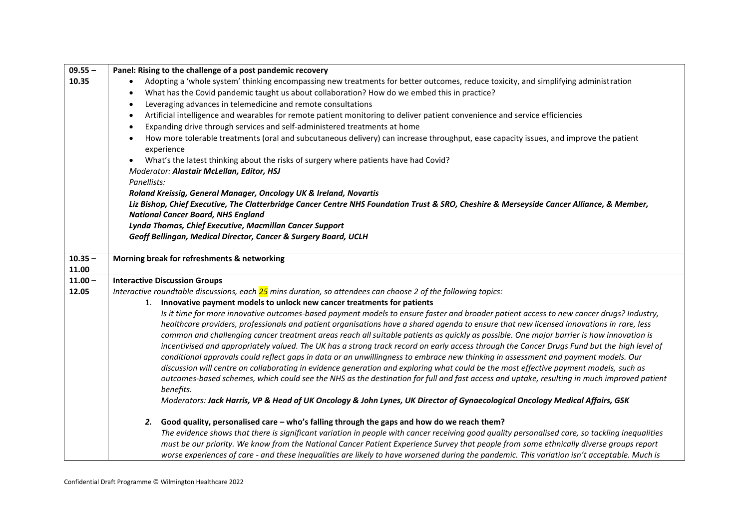| $09.55 -$ | Panel: Rising to the challenge of a post pandemic recovery                                                                                                                                                                                                                                 |  |  |  |  |
|-----------|--------------------------------------------------------------------------------------------------------------------------------------------------------------------------------------------------------------------------------------------------------------------------------------------|--|--|--|--|
| 10.35     | Adopting a 'whole system' thinking encompassing new treatments for better outcomes, reduce toxicity, and simplifying administration                                                                                                                                                        |  |  |  |  |
|           | What has the Covid pandemic taught us about collaboration? How do we embed this in practice?<br>Leveraging advances in telemedicine and remote consultations                                                                                                                               |  |  |  |  |
|           |                                                                                                                                                                                                                                                                                            |  |  |  |  |
|           | Artificial intelligence and wearables for remote patient monitoring to deliver patient convenience and service efficiencies<br>$\bullet$                                                                                                                                                   |  |  |  |  |
|           | Expanding drive through services and self-administered treatments at home<br>$\bullet$                                                                                                                                                                                                     |  |  |  |  |
|           | How more tolerable treatments (oral and subcutaneous delivery) can increase throughput, ease capacity issues, and improve the patient                                                                                                                                                      |  |  |  |  |
|           | experience                                                                                                                                                                                                                                                                                 |  |  |  |  |
|           | What's the latest thinking about the risks of surgery where patients have had Covid?                                                                                                                                                                                                       |  |  |  |  |
|           | Moderator: Alastair McLellan, Editor, HSJ                                                                                                                                                                                                                                                  |  |  |  |  |
|           | Panellists:                                                                                                                                                                                                                                                                                |  |  |  |  |
|           | Roland Kreissig, General Manager, Oncology UK & Ireland, Novartis                                                                                                                                                                                                                          |  |  |  |  |
|           | Liz Bishop, Chief Executive, The Clatterbridge Cancer Centre NHS Foundation Trust & SRO, Cheshire & Merseyside Cancer Alliance, & Member,<br><b>National Cancer Board, NHS England</b>                                                                                                     |  |  |  |  |
|           |                                                                                                                                                                                                                                                                                            |  |  |  |  |
|           | Lynda Thomas, Chief Executive, Macmillan Cancer Support                                                                                                                                                                                                                                    |  |  |  |  |
|           | Geoff Bellingan, Medical Director, Cancer & Surgery Board, UCLH                                                                                                                                                                                                                            |  |  |  |  |
|           |                                                                                                                                                                                                                                                                                            |  |  |  |  |
| $10.35 -$ | Morning break for refreshments & networking                                                                                                                                                                                                                                                |  |  |  |  |
| 11.00     |                                                                                                                                                                                                                                                                                            |  |  |  |  |
| $11.00 -$ | <b>Interactive Discussion Groups</b>                                                                                                                                                                                                                                                       |  |  |  |  |
| 12.05     | Interactive roundtable discussions, each $25$ mins duration, so attendees can choose 2 of the following topics:                                                                                                                                                                            |  |  |  |  |
|           | 1. Innovative payment models to unlock new cancer treatments for patients                                                                                                                                                                                                                  |  |  |  |  |
|           | Is it time for more innovative outcomes-based payment models to ensure faster and broader patient access to new cancer drugs? Industry,                                                                                                                                                    |  |  |  |  |
|           | healthcare providers, professionals and patient organisations have a shared agenda to ensure that new licensed innovations in rare, less                                                                                                                                                   |  |  |  |  |
|           | common and challenging cancer treatment areas reach all suitable patients as quickly as possible. One major barrier is how innovation is                                                                                                                                                   |  |  |  |  |
|           | incentivised and appropriately valued. The UK has a strong track record on early access through the Cancer Drugs Fund but the high level of                                                                                                                                                |  |  |  |  |
|           | conditional approvals could reflect gaps in data or an unwillingness to embrace new thinking in assessment and payment models. Our                                                                                                                                                         |  |  |  |  |
|           |                                                                                                                                                                                                                                                                                            |  |  |  |  |
|           | discussion will centre on collaborating in evidence generation and exploring what could be the most effective payment models, such as                                                                                                                                                      |  |  |  |  |
|           | outcomes-based schemes, which could see the NHS as the destination for full and fast access and uptake, resulting in much improved patient                                                                                                                                                 |  |  |  |  |
|           | benefits.                                                                                                                                                                                                                                                                                  |  |  |  |  |
|           | Moderators: Jack Harris, VP & Head of UK Oncology & John Lynes, UK Director of Gynaecological Oncology Medical Affairs, GSK                                                                                                                                                                |  |  |  |  |
|           |                                                                                                                                                                                                                                                                                            |  |  |  |  |
|           | 2. Good quality, personalised care - who's falling through the gaps and how do we reach them?                                                                                                                                                                                              |  |  |  |  |
|           | The evidence shows that there is significant variation in people with cancer receiving good quality personalised care, so tackling inequalities<br>must be our priority. We know from the National Cancer Patient Experience Survey that people from some ethnically diverse groups report |  |  |  |  |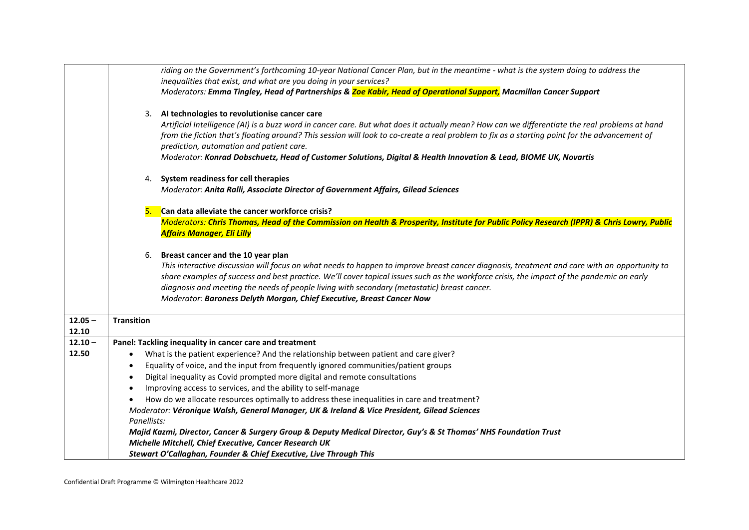|           |                                                                                                                   | riding on the Government's forthcoming 10-year National Cancer Plan, but in the meantime - what is the system doing to address the             |  |  |  |  |
|-----------|-------------------------------------------------------------------------------------------------------------------|------------------------------------------------------------------------------------------------------------------------------------------------|--|--|--|--|
|           | inequalities that exist, and what are you doing in your services?                                                 |                                                                                                                                                |  |  |  |  |
|           | Moderators: Emma Tingley, Head of Partnerships & Zoe Kabir, Head of Operational Support, Macmillan Cancer Support |                                                                                                                                                |  |  |  |  |
|           |                                                                                                                   | 3. Al technologies to revolutionise cancer care                                                                                                |  |  |  |  |
|           |                                                                                                                   | Artificial Intelligence (AI) is a buzz word in cancer care. But what does it actually mean? How can we differentiate the real problems at hand |  |  |  |  |
|           |                                                                                                                   | from the fiction that's floating around? This session will look to co-create a real problem to fix as a starting point for the advancement of  |  |  |  |  |
|           |                                                                                                                   | prediction, automation and patient care.                                                                                                       |  |  |  |  |
|           |                                                                                                                   | Moderator: Konrad Dobschuetz, Head of Customer Solutions, Digital & Health Innovation & Lead, BIOME UK, Novartis                               |  |  |  |  |
|           |                                                                                                                   |                                                                                                                                                |  |  |  |  |
|           | 4. System readiness for cell therapies                                                                            |                                                                                                                                                |  |  |  |  |
|           | Moderator: Anita Ralli, Associate Director of Government Affairs, Gilead Sciences                                 |                                                                                                                                                |  |  |  |  |
|           | Can data alleviate the cancer workforce crisis?<br>5.                                                             |                                                                                                                                                |  |  |  |  |
|           |                                                                                                                   | Moderators: Chris Thomas, Head of the Commission on Health & Prosperity, Institute for Public Policy Research (IPPR) & Chris Lowry, Public     |  |  |  |  |
|           | <b>Affairs Manager, Eli Lilly</b>                                                                                 |                                                                                                                                                |  |  |  |  |
|           | 6.                                                                                                                | Breast cancer and the 10 year plan                                                                                                             |  |  |  |  |
|           |                                                                                                                   | This interactive discussion will focus on what needs to happen to improve breast cancer diagnosis, treatment and care with an opportunity to   |  |  |  |  |
|           |                                                                                                                   | share examples of success and best practice. We'll cover topical issues such as the workforce crisis, the impact of the pandemic on early      |  |  |  |  |
|           |                                                                                                                   | diagnosis and meeting the needs of people living with secondary (metastatic) breast cancer.                                                    |  |  |  |  |
|           |                                                                                                                   | Moderator: Baroness Delyth Morgan, Chief Executive, Breast Cancer Now                                                                          |  |  |  |  |
|           |                                                                                                                   |                                                                                                                                                |  |  |  |  |
| $12.05 -$ | <b>Transition</b>                                                                                                 |                                                                                                                                                |  |  |  |  |
| 12.10     |                                                                                                                   |                                                                                                                                                |  |  |  |  |
| $12.10 -$ |                                                                                                                   | Panel: Tackling inequality in cancer care and treatment                                                                                        |  |  |  |  |
| 12.50     | $\bullet$                                                                                                         | What is the patient experience? And the relationship between patient and care giver?                                                           |  |  |  |  |
|           | Equality of voice, and the input from frequently ignored communities/patient groups<br>$\bullet$                  |                                                                                                                                                |  |  |  |  |
|           | Digital inequality as Covid prompted more digital and remote consultations<br>$\bullet$                           |                                                                                                                                                |  |  |  |  |
|           | Improving access to services, and the ability to self-manage<br>$\bullet$                                         |                                                                                                                                                |  |  |  |  |
|           |                                                                                                                   | How do we allocate resources optimally to address these inequalities in care and treatment?                                                    |  |  |  |  |
|           | Moderator: Véronique Walsh, General Manager, UK & Ireland & Vice President, Gilead Sciences                       |                                                                                                                                                |  |  |  |  |
|           | Panellists:                                                                                                       |                                                                                                                                                |  |  |  |  |
|           |                                                                                                                   | Majid Kazmi, Director, Cancer & Surgery Group & Deputy Medical Director, Guy's & St Thomas' NHS Foundation Trust                               |  |  |  |  |
|           | Michelle Mitchell, Chief Executive, Cancer Research UK                                                            |                                                                                                                                                |  |  |  |  |
|           | Stewart O'Callaghan, Founder & Chief Executive, Live Through This                                                 |                                                                                                                                                |  |  |  |  |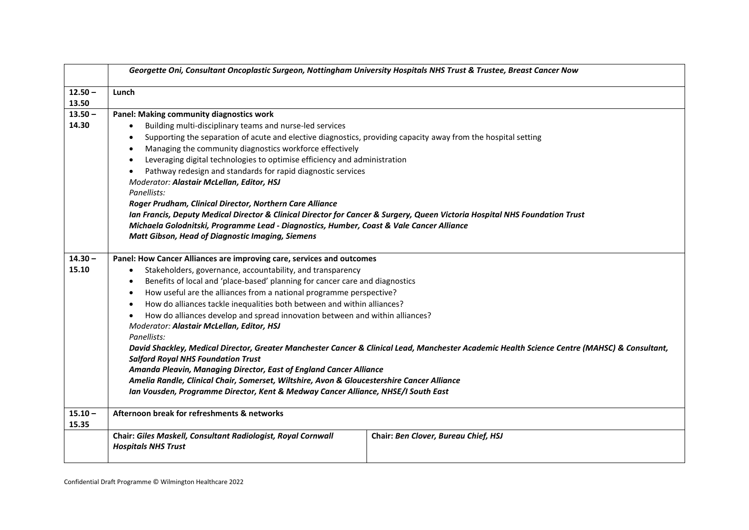| Georgette Oni, Consultant Oncoplastic Surgeon, Nottingham University Hospitals NHS Trust & Trustee, Breast Cancer Now                                                                                                                                                               |                                                                                                                                                                                                                                                                                                                                                                                                                                                                                                                                          |  |  |  |  |
|-------------------------------------------------------------------------------------------------------------------------------------------------------------------------------------------------------------------------------------------------------------------------------------|------------------------------------------------------------------------------------------------------------------------------------------------------------------------------------------------------------------------------------------------------------------------------------------------------------------------------------------------------------------------------------------------------------------------------------------------------------------------------------------------------------------------------------------|--|--|--|--|
| $12.50 -$<br>Lunch                                                                                                                                                                                                                                                                  |                                                                                                                                                                                                                                                                                                                                                                                                                                                                                                                                          |  |  |  |  |
|                                                                                                                                                                                                                                                                                     |                                                                                                                                                                                                                                                                                                                                                                                                                                                                                                                                          |  |  |  |  |
| $13.50 -$                                                                                                                                                                                                                                                                           |                                                                                                                                                                                                                                                                                                                                                                                                                                                                                                                                          |  |  |  |  |
|                                                                                                                                                                                                                                                                                     |                                                                                                                                                                                                                                                                                                                                                                                                                                                                                                                                          |  |  |  |  |
| Supporting the separation of acute and elective diagnostics, providing capacity away from the hospital setting<br>$\bullet$                                                                                                                                                         |                                                                                                                                                                                                                                                                                                                                                                                                                                                                                                                                          |  |  |  |  |
| $\bullet$                                                                                                                                                                                                                                                                           |                                                                                                                                                                                                                                                                                                                                                                                                                                                                                                                                          |  |  |  |  |
| Leveraging digital technologies to optimise efficiency and administration<br>$\bullet$                                                                                                                                                                                              |                                                                                                                                                                                                                                                                                                                                                                                                                                                                                                                                          |  |  |  |  |
|                                                                                                                                                                                                                                                                                     |                                                                                                                                                                                                                                                                                                                                                                                                                                                                                                                                          |  |  |  |  |
| Moderator: Alastair McLellan, Editor, HSJ                                                                                                                                                                                                                                           |                                                                                                                                                                                                                                                                                                                                                                                                                                                                                                                                          |  |  |  |  |
| Panellists:                                                                                                                                                                                                                                                                         |                                                                                                                                                                                                                                                                                                                                                                                                                                                                                                                                          |  |  |  |  |
| Roger Prudham, Clinical Director, Northern Care Alliance<br>Ian Francis, Deputy Medical Director & Clinical Director for Cancer & Surgery, Queen Victoria Hospital NHS Foundation Trust<br>Michaela Golodnitski, Programme Lead - Diagnostics, Humber, Coast & Vale Cancer Alliance |                                                                                                                                                                                                                                                                                                                                                                                                                                                                                                                                          |  |  |  |  |
|                                                                                                                                                                                                                                                                                     |                                                                                                                                                                                                                                                                                                                                                                                                                                                                                                                                          |  |  |  |  |
|                                                                                                                                                                                                                                                                                     |                                                                                                                                                                                                                                                                                                                                                                                                                                                                                                                                          |  |  |  |  |
| Stakeholders, governance, accountability, and transparency<br>$\bullet$                                                                                                                                                                                                             |                                                                                                                                                                                                                                                                                                                                                                                                                                                                                                                                          |  |  |  |  |
| $\bullet$                                                                                                                                                                                                                                                                           |                                                                                                                                                                                                                                                                                                                                                                                                                                                                                                                                          |  |  |  |  |
| $\bullet$                                                                                                                                                                                                                                                                           |                                                                                                                                                                                                                                                                                                                                                                                                                                                                                                                                          |  |  |  |  |
| How do alliances tackle inequalities both between and within alliances?                                                                                                                                                                                                             |                                                                                                                                                                                                                                                                                                                                                                                                                                                                                                                                          |  |  |  |  |
| How do alliances develop and spread innovation between and within alliances?                                                                                                                                                                                                        |                                                                                                                                                                                                                                                                                                                                                                                                                                                                                                                                          |  |  |  |  |
| Moderator: Alastair McLellan, Editor, HSJ                                                                                                                                                                                                                                           |                                                                                                                                                                                                                                                                                                                                                                                                                                                                                                                                          |  |  |  |  |
| Panellists:                                                                                                                                                                                                                                                                         |                                                                                                                                                                                                                                                                                                                                                                                                                                                                                                                                          |  |  |  |  |
| David Shackley, Medical Director, Greater Manchester Cancer & Clinical Lead, Manchester Academic Health Science Centre (MAHSC) & Consultant,<br><b>Salford Royal NHS Foundation Trust</b>                                                                                           |                                                                                                                                                                                                                                                                                                                                                                                                                                                                                                                                          |  |  |  |  |
| Amanda Pleavin, Managing Director, East of England Cancer Alliance                                                                                                                                                                                                                  |                                                                                                                                                                                                                                                                                                                                                                                                                                                                                                                                          |  |  |  |  |
| Amelia Randle, Clinical Chair, Somerset, Wiltshire, Avon & Gloucestershire Cancer Alliance                                                                                                                                                                                          |                                                                                                                                                                                                                                                                                                                                                                                                                                                                                                                                          |  |  |  |  |
| Ian Vousden, Programme Director, Kent & Medway Cancer Alliance, NHSE/I South East                                                                                                                                                                                                   |                                                                                                                                                                                                                                                                                                                                                                                                                                                                                                                                          |  |  |  |  |
| Afternoon break for refreshments & networks                                                                                                                                                                                                                                         |                                                                                                                                                                                                                                                                                                                                                                                                                                                                                                                                          |  |  |  |  |
|                                                                                                                                                                                                                                                                                     |                                                                                                                                                                                                                                                                                                                                                                                                                                                                                                                                          |  |  |  |  |
| Chair: Giles Maskell, Consultant Radiologist, Royal Cornwall<br><b>Hospitals NHS Trust</b>                                                                                                                                                                                          | Chair: Ben Clover, Bureau Chief, HSJ                                                                                                                                                                                                                                                                                                                                                                                                                                                                                                     |  |  |  |  |
|                                                                                                                                                                                                                                                                                     | Panel: Making community diagnostics work<br>Building multi-disciplinary teams and nurse-led services<br>$\bullet$<br>Managing the community diagnostics workforce effectively<br>Pathway redesign and standards for rapid diagnostic services<br><b>Matt Gibson, Head of Diagnostic Imaging, Siemens</b><br>Panel: How Cancer Alliances are improving care, services and outcomes<br>Benefits of local and 'place-based' planning for cancer care and diagnostics<br>How useful are the alliances from a national programme perspective? |  |  |  |  |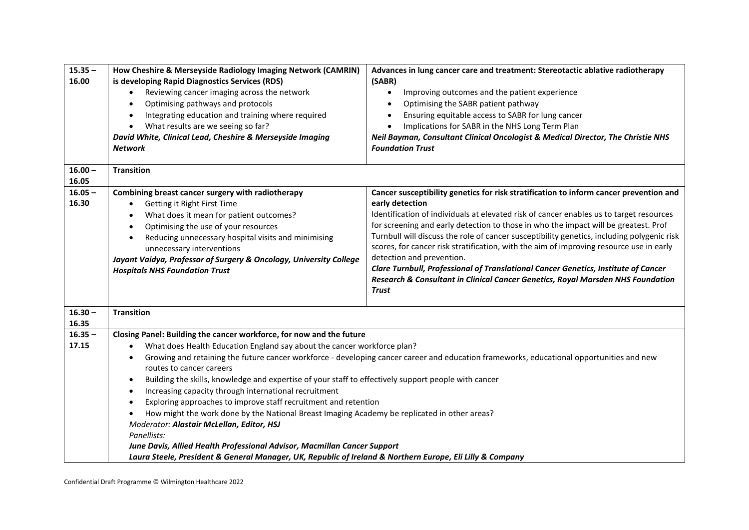| $15.35 -$<br>16.00 | How Cheshire & Merseyside Radiology Imaging Network (CAMRIN)<br>is developing Rapid Diagnostics Services (RDS)<br>Reviewing cancer imaging across the network<br>Optimising pathways and protocols<br>Integrating education and training where required<br>What results are we seeing so far?<br>$\bullet$<br>David White, Clinical Lead, Cheshire & Merseyside Imaging<br>Network                                                                                                                                                                                                                                                                                                                                                                                                                                                                                                                                                         | Advances in lung cancer care and treatment: Stereotactic ablative radiotherapy<br>(SABR)<br>Improving outcomes and the patient experience<br>$\bullet$<br>Optimising the SABR patient pathway<br>$\bullet$<br>Ensuring equitable access to SABR for lung cancer<br>$\bullet$<br>Implications for SABR in the NHS Long Term Plan<br>$\bullet$<br>Neil Bayman, Consultant Clinical Oncologist & Medical Director, The Christie NHS<br><b>Foundation Trust</b>                                                                                                                                                                                                                                         |
|--------------------|--------------------------------------------------------------------------------------------------------------------------------------------------------------------------------------------------------------------------------------------------------------------------------------------------------------------------------------------------------------------------------------------------------------------------------------------------------------------------------------------------------------------------------------------------------------------------------------------------------------------------------------------------------------------------------------------------------------------------------------------------------------------------------------------------------------------------------------------------------------------------------------------------------------------------------------------|-----------------------------------------------------------------------------------------------------------------------------------------------------------------------------------------------------------------------------------------------------------------------------------------------------------------------------------------------------------------------------------------------------------------------------------------------------------------------------------------------------------------------------------------------------------------------------------------------------------------------------------------------------------------------------------------------------|
| $16.00 -$<br>16.05 | <b>Transition</b>                                                                                                                                                                                                                                                                                                                                                                                                                                                                                                                                                                                                                                                                                                                                                                                                                                                                                                                          |                                                                                                                                                                                                                                                                                                                                                                                                                                                                                                                                                                                                                                                                                                     |
| $16.05 -$<br>16.30 | Combining breast cancer surgery with radiotherapy<br>Getting it Right First Time<br>What does it mean for patient outcomes?<br>Optimising the use of your resources<br>Reducing unnecessary hospital visits and minimising<br>$\bullet$<br>unnecessary interventions<br>Jayant Vaidya, Professor of Surgery & Oncology, University College<br><b>Hospitals NHS Foundation Trust</b>                                                                                                                                                                                                                                                                                                                                                                                                                                                                                                                                                        | Cancer susceptibility genetics for risk stratification to inform cancer prevention and<br>early detection<br>Identification of individuals at elevated risk of cancer enables us to target resources<br>for screening and early detection to those in who the impact will be greatest. Prof<br>Turnbull will discuss the role of cancer susceptibility genetics, including polygenic risk<br>scores, for cancer risk stratification, with the aim of improving resource use in early<br>detection and prevention.<br>Clare Turnbull, Professional of Translational Cancer Genetics, Institute of Cancer<br>Research & Consultant in Clinical Cancer Genetics, Royal Marsden NHS Foundation<br>Trust |
| $16.30 -$<br>16.35 | <b>Transition</b>                                                                                                                                                                                                                                                                                                                                                                                                                                                                                                                                                                                                                                                                                                                                                                                                                                                                                                                          |                                                                                                                                                                                                                                                                                                                                                                                                                                                                                                                                                                                                                                                                                                     |
| $16.35 -$<br>17.15 | Closing Panel: Building the cancer workforce, for now and the future<br>What does Health Education England say about the cancer workforce plan?<br>$\bullet$<br>Growing and retaining the future cancer workforce - developing cancer career and education frameworks, educational opportunities and new<br>$\bullet$<br>routes to cancer careers<br>Building the skills, knowledge and expertise of your staff to effectively support people with cancer<br>Increasing capacity through international recruitment<br>Exploring approaches to improve staff recruitment and retention<br>How might the work done by the National Breast Imaging Academy be replicated in other areas?<br>Moderator: Alastair McLellan, Editor, HSJ<br>Panellists:<br>June Davis, Allied Health Professional Advisor, Macmillan Cancer Support<br>Laura Steele, President & General Manager, UK, Republic of Ireland & Northern Europe, Eli Lilly & Company |                                                                                                                                                                                                                                                                                                                                                                                                                                                                                                                                                                                                                                                                                                     |